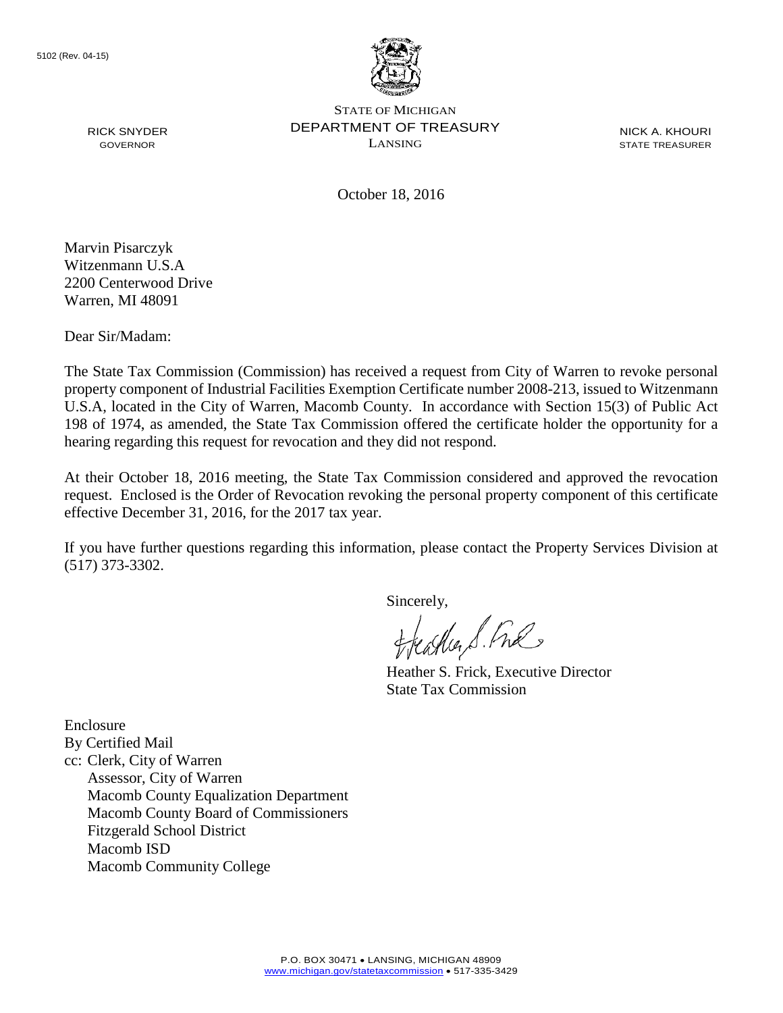

STATE OF MICHIGAN DEPARTMENT OF TREASURY LANSING

NICK A. KHOURI STATE TREASURER

October 18, 2016

Marvin Pisarczyk Witzenmann U.S.A 2200 Centerwood Drive Warren, MI 48091

RICK SNYDER GOVERNOR

Dear Sir/Madam:

The State Tax Commission (Commission) has received a request from City of Warren to revoke personal property component of Industrial Facilities Exemption Certificate number 2008-213, issued to Witzenmann U.S.A, located in the City of Warren, Macomb County. In accordance with Section 15(3) of Public Act 198 of 1974, as amended, the State Tax Commission offered the certificate holder the opportunity for a hearing regarding this request for revocation and they did not respond.

At their October 18, 2016 meeting, the State Tax Commission considered and approved the revocation request. Enclosed is the Order of Revocation revoking the personal property component of this certificate effective December 31, 2016, for the 2017 tax year.

If you have further questions regarding this information, please contact the Property Services Division at (517) 373-3302.

Sincerely,

eagher S. Free

Heather S. Frick, Executive Director State Tax Commission

Enclosure By Certified Mail cc: Clerk, City of Warren Assessor, City of Warren Macomb County Equalization Department Macomb County Board of Commissioners Fitzgerald School District Macomb ISD Macomb Community College